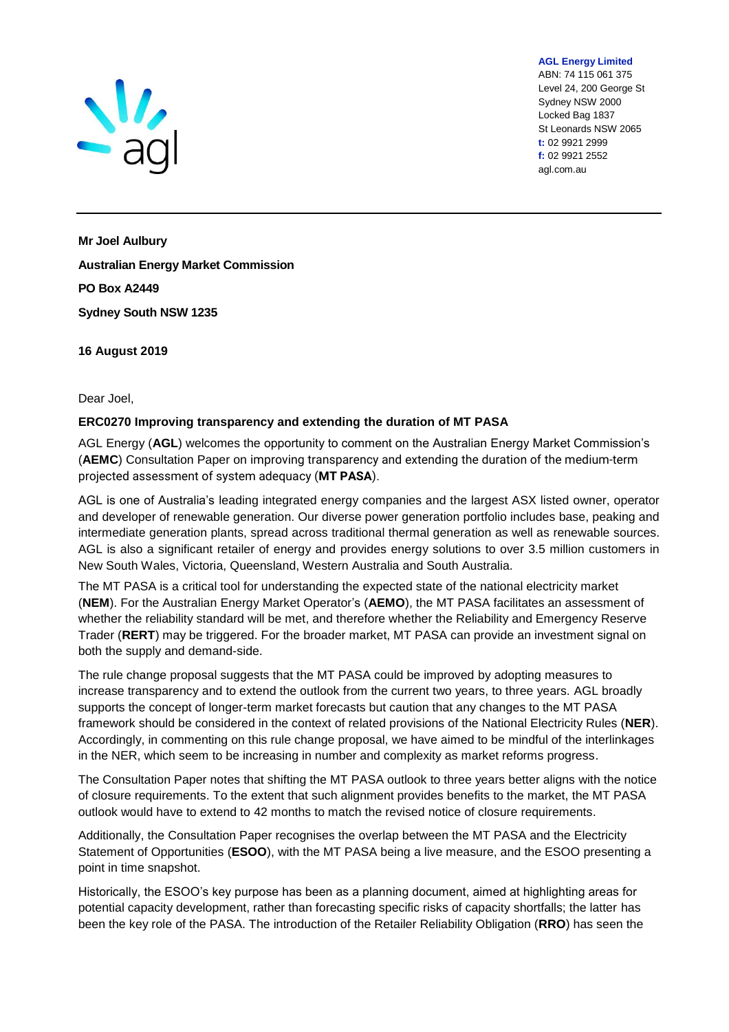

ABN: 74 115 061 375 Level 24, 200 George St Sydney NSW 2000 Locked Bag 1837 St Leonards NSW 2065 **t:** 02 9921 2999 **f:** 02 9921 2552 agl.com.au

**AGL Energy Limited**

**Mr Joel Aulbury Australian Energy Market Commission PO Box A2449 Sydney South NSW 1235**

**16 August 2019**

## Dear Joel,

## **ERC0270 Improving transparency and extending the duration of MT PASA**

AGL Energy (**AGL**) welcomes the opportunity to comment on the Australian Energy Market Commission's (**AEMC**) Consultation Paper on improving transparency and extending the duration of the medium-term projected assessment of system adequacy (**MT PASA**).

AGL is one of Australia's leading integrated energy companies and the largest ASX listed owner, operator and developer of renewable generation. Our diverse power generation portfolio includes base, peaking and intermediate generation plants, spread across traditional thermal generation as well as renewable sources. AGL is also a significant retailer of energy and provides energy solutions to over 3.5 million customers in New South Wales, Victoria, Queensland, Western Australia and South Australia.

The MT PASA is a critical tool for understanding the expected state of the national electricity market (**NEM**). For the Australian Energy Market Operator's (**AEMO**), the MT PASA facilitates an assessment of whether the reliability standard will be met, and therefore whether the Reliability and Emergency Reserve Trader (**RERT**) may be triggered. For the broader market, MT PASA can provide an investment signal on both the supply and demand-side.

The rule change proposal suggests that the MT PASA could be improved by adopting measures to increase transparency and to extend the outlook from the current two years, to three years. AGL broadly supports the concept of longer-term market forecasts but caution that any changes to the MT PASA framework should be considered in the context of related provisions of the National Electricity Rules (**NER**). Accordingly, in commenting on this rule change proposal, we have aimed to be mindful of the interlinkages in the NER, which seem to be increasing in number and complexity as market reforms progress.

The Consultation Paper notes that shifting the MT PASA outlook to three years better aligns with the notice of closure requirements. To the extent that such alignment provides benefits to the market, the MT PASA outlook would have to extend to 42 months to match the revised notice of closure requirements.

Additionally, the Consultation Paper recognises the overlap between the MT PASA and the Electricity Statement of Opportunities (**ESOO**), with the MT PASA being a live measure, and the ESOO presenting a point in time snapshot.

Historically, the ESOO's key purpose has been as a planning document, aimed at highlighting areas for potential capacity development, rather than forecasting specific risks of capacity shortfalls; the latter has been the key role of the PASA. The introduction of the Retailer Reliability Obligation (**RRO**) has seen the